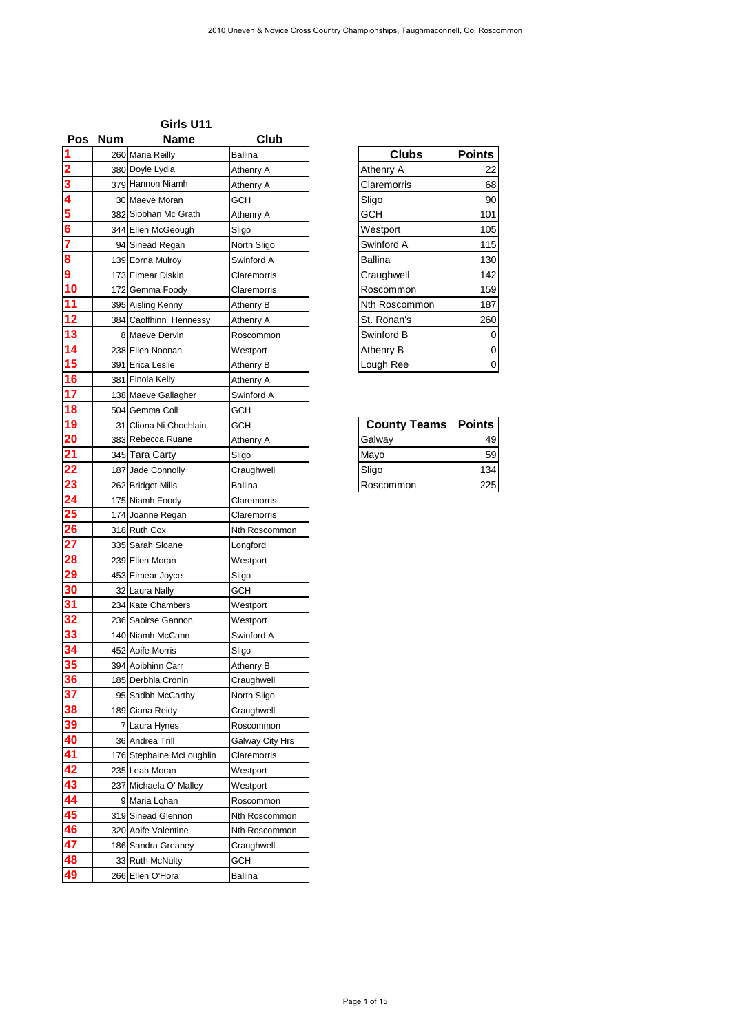## **Girls U11**

|                       |            | Girls U11                           |                         |                     |                  |
|-----------------------|------------|-------------------------------------|-------------------------|---------------------|------------------|
| <b>Pos</b>            | <b>Num</b> | <b>Name</b>                         | <b>Club</b>             | <b>Clubs</b>        | <b>Points</b>    |
|                       |            | 260 Maria Reilly<br>380 Doyle Lydia | <b>Ballina</b>          | Athenry A           | 22               |
|                       |            | 379 Hannon Niamh                    | Athenry A<br>Athenry A  | Claremorris         | 68               |
|                       |            | 30 Maeve Moran                      | <b>GCH</b>              | Sligo               | 90               |
|                       |            | 382 Siobhan Mc Grath                | Athenry A               | <b>GCH</b>          | 101              |
|                       |            | 344 Ellen McGeough                  | Sligo                   | Westport            | 105              |
|                       |            | 94 Sinead Regan                     | North Sligo             | Swinford A          | 115              |
|                       |            | 139 Eorna Mulroy                    | Swinford A              | <b>Ballina</b>      | 130              |
|                       |            | 173 Eimear Diskin                   | Claremorris             | Craughwell          | 142              |
| $\overline{10}$       |            | 172 Gemma Foody                     | Claremorris             | Roscommon           | 159              |
| $\overline{11}$       |            | 395 Aisling Kenny                   | Athenry B               | Nth Roscommon       | 187              |
| 12                    |            | 384 Caolfhinn Hennessy              | Athenry A               | St. Ronan's         | 260              |
| $\overline{13}$       |            | 8 Maeve Dervin                      | Roscommon               | Swinford B          | 0                |
| $\overline{14}$       |            | 238 Ellen Noonan                    | Westport                | Athenry B           | $\boldsymbol{0}$ |
| 15                    |            | 391 Erica Leslie                    | Athenry B               | Lough Ree           | 0                |
| 16                    |            | 381 Finola Kelly                    | Athenry A               |                     |                  |
| 17                    |            | 138 Maeve Gallagher                 | Swinford A              |                     |                  |
| 18                    |            | 504 Gemma Coll                      | <b>GCH</b>              |                     |                  |
| 19                    |            | 31 Cliona Ni Chochlain              | <b>GCH</b>              | <b>County Teams</b> | <b>Points</b>    |
| 20                    |            | 383 Rebecca Ruane                   | Athenry A               | Galway              | 49               |
| 21                    |            | 345 Tara Carty                      | Sligo                   | Mayo                | 59               |
| 22                    |            | 187 Jade Connolly                   | Craughwell              | Sligo               | 134              |
| 23                    |            | 262 Bridget Mills                   | <b>Ballina</b>          | Roscommon           | 225              |
| $\overline{24}$       |            | 175 Niamh Foody                     | Claremorris             |                     |                  |
| 25                    |            | 174 Joanne Regan                    | Claremorris             |                     |                  |
| 26                    |            | 318 Ruth Cox                        | Nth Roscommon           |                     |                  |
| $\overline{27}$       |            | 335 Sarah Sloane                    | Longford                |                     |                  |
| 28                    |            | 239 Ellen Moran                     | Westport                |                     |                  |
| 29                    |            | 453 Eimear Joyce                    | Sligo                   |                     |                  |
| 30                    |            | 32 Laura Nally                      | <b>GCH</b>              |                     |                  |
| 31                    |            | 234 Kate Chambers                   | Westport                |                     |                  |
| 32                    |            | 236 Saoirse Gannon                  | Westport                |                     |                  |
| 33                    |            | 140 Niamh McCann                    | Swinford A              |                     |                  |
| 34                    |            | 452 Aoife Morris                    | Sligo                   |                     |                  |
| 35                    |            | 394 Aoibhinn Carr                   | Athenry B               |                     |                  |
| 36                    |            | 185 Derbhla Cronin                  | Craughwell              |                     |                  |
| $\overline{37}$<br>38 |            | 95 Sadbh McCarthy                   | North Sligo             |                     |                  |
| 39                    | 71         | 189 Ciana Reidy<br>Laura Hynes      | Craughwell<br>Roscommon |                     |                  |
| 40                    |            | 36 Andrea Trill                     | Galway City Hrs         |                     |                  |
| 41                    |            | 176 Stephaine McLoughlin            | Claremorris             |                     |                  |
| 42                    |            | 235 Leah Moran                      | Westport                |                     |                  |
| 43                    |            | 237 Michaela O' Malley              | Westport                |                     |                  |
| 44                    |            | 9 Maria Lohan                       | Roscommon               |                     |                  |
| 45                    |            | 319 Sinead Glennon                  | Nth Roscommon           |                     |                  |
| 46                    |            | 320 Aoife Valentine                 | Nth Roscommon           |                     |                  |
|                       |            | 186 Sandra Greaney                  | Craughwell              |                     |                  |
|                       |            | 33 Ruth McNulty                     | <b>GCH</b>              |                     |                  |
| 47<br>48              |            |                                     | <b>Ballina</b>          |                     |                  |

| Clubs         | <b>Points</b> |
|---------------|---------------|
| Athenry A     | 22            |
| Claremorris   | 68            |
| Sligo         | 90            |
| <b>GCH</b>    | 101           |
| Westport      | 105           |
| Swinford A    | 115           |
| Ballina       | 130           |
| Craughwell    | 142           |
| Roscommon     | 159           |
| Nth Roscommon | 187           |
| St. Ronan's   | 260           |
| Swinford B    | 0             |
| Athenry B     | 0             |
| Lough Ree     |               |

| <b>County Teams</b> | <b>Points</b> |
|---------------------|---------------|
| Galway              | 49            |
| Mayo                | 59            |
| Sligo               | 134           |
| l Roscommon         | 225           |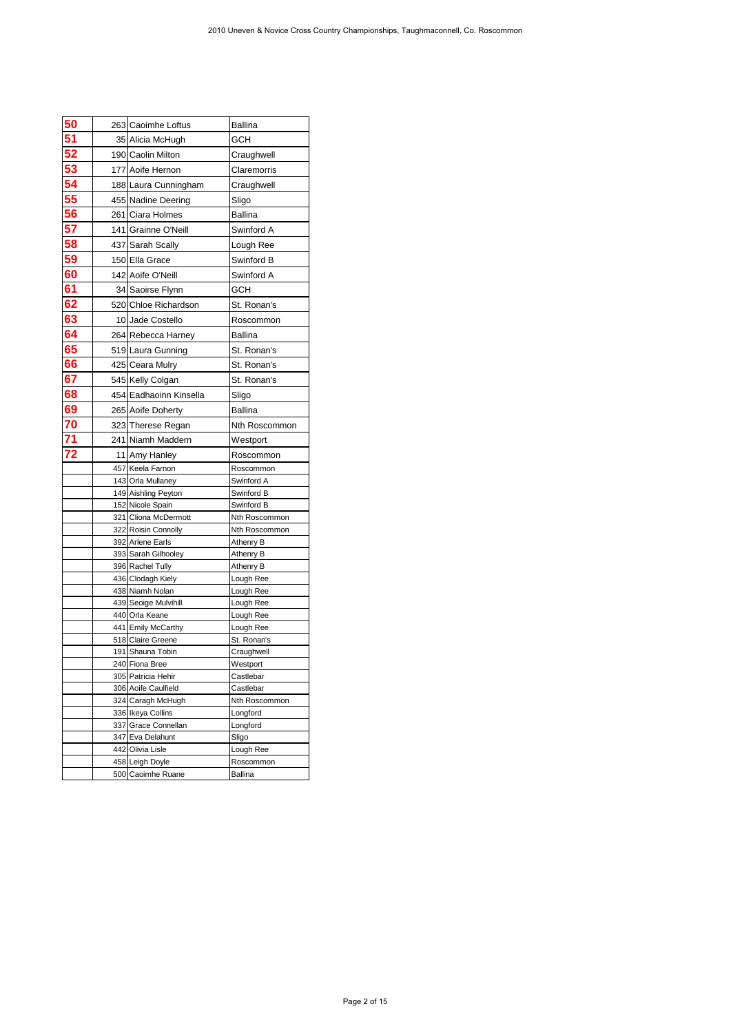| 50 | 263 Caoimhe Loftus                       | <b>Ballina</b>              |
|----|------------------------------------------|-----------------------------|
| 51 | 35 Alicia McHugh                         | <b>GCH</b>                  |
| 52 | 190 Caolin Milton                        | Craughwell                  |
| 53 | 177 Aoife Hernon                         | Claremorris                 |
| 54 | 188 Laura Cunningham                     | Craughwell                  |
| 55 | 455 Nadine Deering                       | Sligo                       |
| 56 | 261 Ciara Holmes                         | <b>Ballina</b>              |
| 57 | 141 Grainne O'Neill                      | Swinford A                  |
| 58 | 437 Sarah Scally                         | Lough Ree                   |
| 59 | 150 Ella Grace                           | Swinford B                  |
| 60 | 142 Aoife O'Neill                        | Swinford A                  |
| 61 | 34 Saoirse Flynn                         | <b>GCH</b>                  |
| 62 | 520 Chloe Richardson                     | St. Ronan's                 |
| 63 | 10 Jade Costello                         | Roscommon                   |
| 64 | 264 Rebecca Harney                       | <b>Ballina</b>              |
| 65 | 519 Laura Gunning                        | St. Ronan's                 |
| 66 | 425 Ceara Mulry                          | St. Ronan's                 |
| 67 | 545 Kelly Colgan                         | St. Ronan's                 |
| 68 | 454 Eadhaoinn Kinsella                   | Sligo                       |
| 69 | 265 Aoife Doherty                        | <b>Ballina</b>              |
| 70 | 323 Therese Regan                        | Nth Roscommon               |
| 71 | 241 Niamh Maddern                        | Westport                    |
| 72 | 11 Amy Hanley                            | Roscommon                   |
|    | 457 Keela Farnon                         | Roscommon                   |
|    | 143 Orla Mullaney                        | Swinford A                  |
|    | 149 Aishling Peyton                      | Swinford B                  |
|    | 152 Nicole Spain<br>321 Cliona McDermott | Swinford B<br>Nth Roscommon |
|    | 322 Roisin Connolly                      | Nth Roscommon               |
|    | 392 Arlene Earls                         | Athenry B                   |
|    | 393 Sarah Gilhooley                      | Athenry B                   |
|    | 396 Rachel Tully                         | Athenry B                   |
|    | 436 Clodagh Kiely<br>438 Niamh Nolan     | Lough Ree<br>Lough Ree      |
|    | 439 Seoige Mulvihill                     | Lough Ree                   |
|    | 440 Orla Keane                           | Lough Ree                   |
|    | 441 Emily McCarthy                       | Lough Ree                   |
|    | 518 Claire Greene                        | St. Ronan's                 |
|    | 191 Shauna Tobin                         | Craughwell                  |
|    | 240 Fiona Bree<br>305 Patricia Hehir     | Westport<br>Castlebar       |
|    | 306 Aoife Caulfield                      | Castlebar                   |
|    | 324 Caragh McHugh                        | Nth Roscommon               |
|    | 336 Ikeya Collins                        | Longford                    |
|    | 337 Grace Connellan                      | Longford                    |
|    | 347 Eva Delahunt<br>442 Olivia Lisle     | Sligo<br>Lough Ree          |
|    | 458 Leigh Doyle                          | Roscommon                   |
|    | 500 Caoimhe Ruane                        |                             |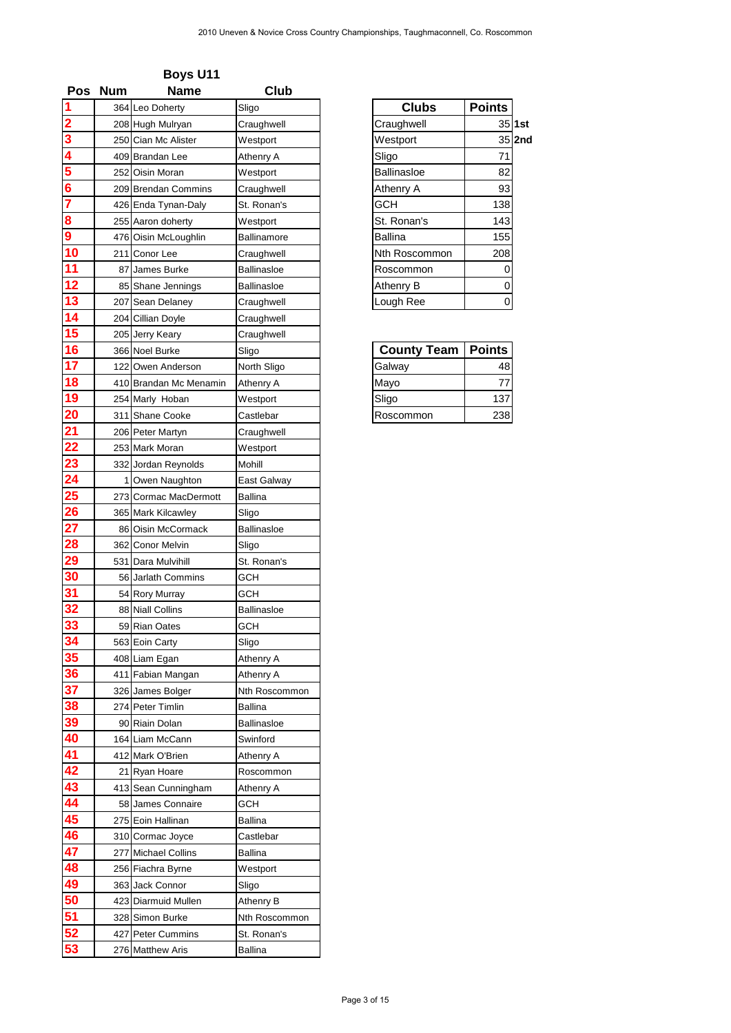| <b>Pos</b>                                                                                              | <b>Num</b> | <b>Name</b>            | <b>Club</b>        |                    |               |
|---------------------------------------------------------------------------------------------------------|------------|------------------------|--------------------|--------------------|---------------|
|                                                                                                         |            | 364 Leo Doherty        | Sligo              | <b>Clubs</b>       | <b>Points</b> |
|                                                                                                         |            | 208 Hugh Mulryan       | Craughwell         | Craughwell         | $35$ 1st      |
|                                                                                                         |            | 250 Cian Mc Alister    | Westport           | Westport           | $35$  2nd     |
|                                                                                                         |            | 409 Brandan Lee        | Athenry A          | Sligo              | 71            |
| $\frac{2}{3}$ $\frac{3}{4}$ $\frac{4}{5}$ $\frac{6}{6}$ $\frac{7}{7}$ $\frac{8}{8}$ $\frac{9}{9}$       |            | 252 Oisin Moran        | Westport           | <b>Ballinasloe</b> | 82            |
|                                                                                                         |            | 209 Brendan Commins    | Craughwell         | Athenry A          | 93            |
|                                                                                                         |            | 426 Enda Tynan-Daly    | St. Ronan's        | <b>GCH</b>         | 138           |
|                                                                                                         |            | 255 Aaron doherty      | Westport           | St. Ronan's        | 143           |
|                                                                                                         |            | 476 Oisin McLoughlin   | Ballinamore        | <b>Ballina</b>     | 155           |
| 10                                                                                                      |            | 211 Conor Lee          | Craughwell         | Nth Roscommon      | 208           |
| 11                                                                                                      | 87         | James Burke            | <b>Ballinasloe</b> | Roscommon          | 0             |
| 12                                                                                                      |            | 85 Shane Jennings      | <b>Ballinasloe</b> | Athenry B          | 0             |
| 13                                                                                                      | 207        | Sean Delaney           | Craughwell         | Lough Ree          | $\mathbf 0$   |
| 14                                                                                                      |            | 204 Cillian Doyle      | Craughwell         |                    |               |
| 15                                                                                                      |            | 205 Jerry Keary        | Craughwell         |                    |               |
| 16                                                                                                      |            | 366 Noel Burke         | Sligo              | <b>County Team</b> | <b>Points</b> |
| 17                                                                                                      |            | 122 Owen Anderson      | North Sligo        | Galway             | 48            |
| 18                                                                                                      |            | 410 Brandan Mc Menamin | Athenry A          | Mayo               | 77            |
| 19                                                                                                      |            | 254 Marly Hoban        | Westport           | Sligo              | 137           |
| 20                                                                                                      |            | 311 Shane Cooke        | Castlebar          | Roscommon          | 238           |
| $\begin{array}{r} \n \overline{21} \\  \overline{22} \\  \overline{23} \\  \overline{24}\n \end{array}$ |            | 206 Peter Martyn       | Craughwell         |                    |               |
|                                                                                                         |            | 253 Mark Moran         | Westport           |                    |               |
|                                                                                                         |            | 332 Jordan Reynolds    | Mohill             |                    |               |
|                                                                                                         |            | Owen Naughton          | East Galway        |                    |               |
| $\overline{25}$                                                                                         |            | 273 Cormac MacDermott  | <b>Ballina</b>     |                    |               |
| 26                                                                                                      |            | 365 Mark Kilcawley     | Sligo              |                    |               |
|                                                                                                         |            | 86 Oisin McCormack     | <b>Ballinasloe</b> |                    |               |
|                                                                                                         |            | 362 Conor Melvin       | Sligo              |                    |               |
| $\frac{27}{28}$<br>$\frac{29}{30}$                                                                      |            | 531 Dara Mulvihill     | St. Ronan's        |                    |               |
|                                                                                                         |            | 56 Jarlath Commins     | <b>GCH</b>         |                    |               |
| $\frac{31}{32}$                                                                                         |            | 54 Rory Murray         | <b>GCH</b>         |                    |               |
|                                                                                                         |            | 88 Niall Collins       | Ballinasloe        |                    |               |
| $\frac{33}{34}$                                                                                         |            | 59 Rian Oates          | <b>GCH</b>         |                    |               |
|                                                                                                         |            | 563 Eoin Carty         | Sligo              |                    |               |
| 35                                                                                                      |            | 408 Liam Egan          | Athenry A          |                    |               |
| 36                                                                                                      |            | 411 Fabian Mangan      | Athenry A          |                    |               |
| 37                                                                                                      |            | 326 James Bolger       | Nth Roscommon      |                    |               |
| 38                                                                                                      |            | 274 Peter Timlin       | <b>Ballina</b>     |                    |               |
| $\frac{39}{40}$                                                                                         |            | 90 Riain Dolan         | <b>Ballinasloe</b> |                    |               |
|                                                                                                         |            | 164 Liam McCann        | Swinford           |                    |               |
| 41                                                                                                      |            | 412 Mark O'Brien       | Athenry A          |                    |               |
| 42                                                                                                      |            | 21 Ryan Hoare          | Roscommon          |                    |               |
| 43                                                                                                      |            | 413 Sean Cunningham    | Athenry A          |                    |               |
|                                                                                                         |            | 58 James Connaire      | <b>GCH</b>         |                    |               |
| $\frac{44}{45}$                                                                                         |            | 275 Eoin Hallinan      | <b>Ballina</b>     |                    |               |
|                                                                                                         |            | 310 Cormac Joyce       | Castlebar          |                    |               |
| 47                                                                                                      |            | 277 Michael Collins    | <b>Ballina</b>     |                    |               |
| 48                                                                                                      |            | 256 Fiachra Byrne      | Westport           |                    |               |
| 49                                                                                                      |            | 363 Jack Connor        | Sligo              |                    |               |
| 50                                                                                                      |            | 423 Diarmuid Mullen    | Athenry B          |                    |               |
| $\frac{51}{52}$                                                                                         |            | 328 Simon Burke        | Nth Roscommon      |                    |               |
|                                                                                                         |            | 427 Peter Cummins      | St. Ronan's        |                    |               |
| 53                                                                                                      |            | 276 Matthew Aris       | <b>Ballina</b>     |                    |               |

| <b>Clubs</b>       | <b>Points</b> |    |
|--------------------|---------------|----|
| Craughwell         | 35            | 1s |
| Westport           | 35            | 2n |
| Sligo              | 71            |    |
| <b>Ballinasloe</b> | 82            |    |
| Athenry A          | 93            |    |
| <b>GCH</b>         | 138           |    |
| St. Ronan's        | 143           |    |
| <b>Ballina</b>     | 155           |    |
| Nth Roscommon      | 208           |    |
| Roscommon          | ი             |    |
| <b>Athenry B</b>   | 0             |    |
| Lough Ree          |               |    |

| <b>County Team</b> | <b>Points</b>  |
|--------------------|----------------|
| Galway             | 48             |
| Mayo               | $\prime\prime$ |
| Sligo              | 137            |
| <b>Roscommon</b>   | 238            |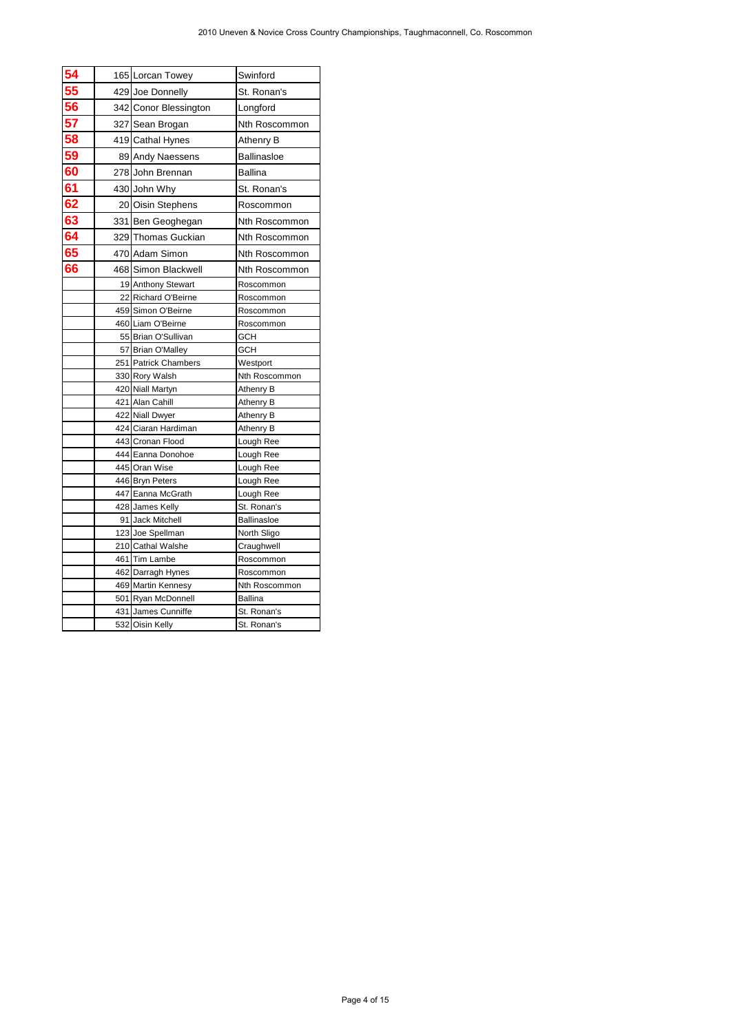|                            |                                          | 2010 Uneven & Novice Cross Country Championships, Taughmaconnell, Co. Roscommon |
|----------------------------|------------------------------------------|---------------------------------------------------------------------------------|
|                            |                                          |                                                                                 |
| 54<br>55<br>56<br>57<br>57 | 165 Lorcan Towey                         | Swinford                                                                        |
|                            | 429 Joe Donnelly                         | St. Ronan's                                                                     |
|                            | 342 Conor Blessington<br>327 Sean Brogan | Longford<br>Nth Roscommon                                                       |
| 58                         | 419 Cathal Hynes                         | Athenry B                                                                       |
| 59                         | 89 Andy Naessens                         | <b>Ballinasloe</b>                                                              |
| 60                         | 278 John Brennan                         | <b>Ballina</b>                                                                  |
| 61                         | 430 John Why                             | St. Ronan's                                                                     |
| 62                         | 20 Oisin Stephens                        | Roscommon                                                                       |
| 63                         | 331 Ben Geoghegan                        | Nth Roscommon                                                                   |
| 64                         | 329 Thomas Guckian                       | Nth Roscommon                                                                   |
| 65                         | 470 Adam Simon                           | Nth Roscommon                                                                   |
| 66                         | 468 Simon Blackwell                      | Nth Roscommon                                                                   |
|                            | 19 Anthony Stewart                       | Roscommon                                                                       |
|                            | 22 Richard O'Beirne                      | Roscommon                                                                       |
|                            | 459 Simon O'Beirne<br>460 Liam O'Beirne  | Roscommon<br>Roscommon                                                          |
|                            | 55 Brian O'Sullivan                      | GCH                                                                             |
|                            | 57 Brian O'Malley                        | GCH                                                                             |
|                            | 251 Patrick Chambers                     | Westport                                                                        |
|                            | 330 Rory Walsh<br>420 Niall Martyn       | Nth Roscommon<br>Athenry B                                                      |
|                            | 421 Alan Cahill                          | Athenry B                                                                       |
|                            | 422 Niall Dwyer                          | Athenry B                                                                       |
|                            | 424 Ciaran Hardiman                      | Athenry B                                                                       |
|                            | 443 Cronan Flood<br>444 Eanna Donohoe    | Lough Ree<br>Lough Ree                                                          |
|                            | 445 Oran Wise                            | Lough Ree                                                                       |
|                            | 446 Bryn Peters                          | Lough Ree                                                                       |
|                            | 447 Eanna McGrath                        | Lough Ree                                                                       |
|                            | 428 James Kelly<br>91 Jack Mitchell      | St. Ronan's<br>Ballinasloe                                                      |
|                            | 123 Joe Spellman                         | North Sligo                                                                     |
|                            | 210 Cathal Walshe                        | Craughwell                                                                      |
|                            | 461 Tim Lambe<br>462 Darragh Hynes       | Roscommon                                                                       |
|                            | 469 Martin Kennesy                       | Roscommon<br>Nth Roscommon                                                      |
|                            | 501 Ryan McDonnell                       | <b>Ballina</b>                                                                  |
|                            | 431 James Cunniffe                       | St. Ronan's                                                                     |
|                            |                                          |                                                                                 |
|                            | 532 Oisin Kelly                          | St. Ronan's                                                                     |
|                            |                                          |                                                                                 |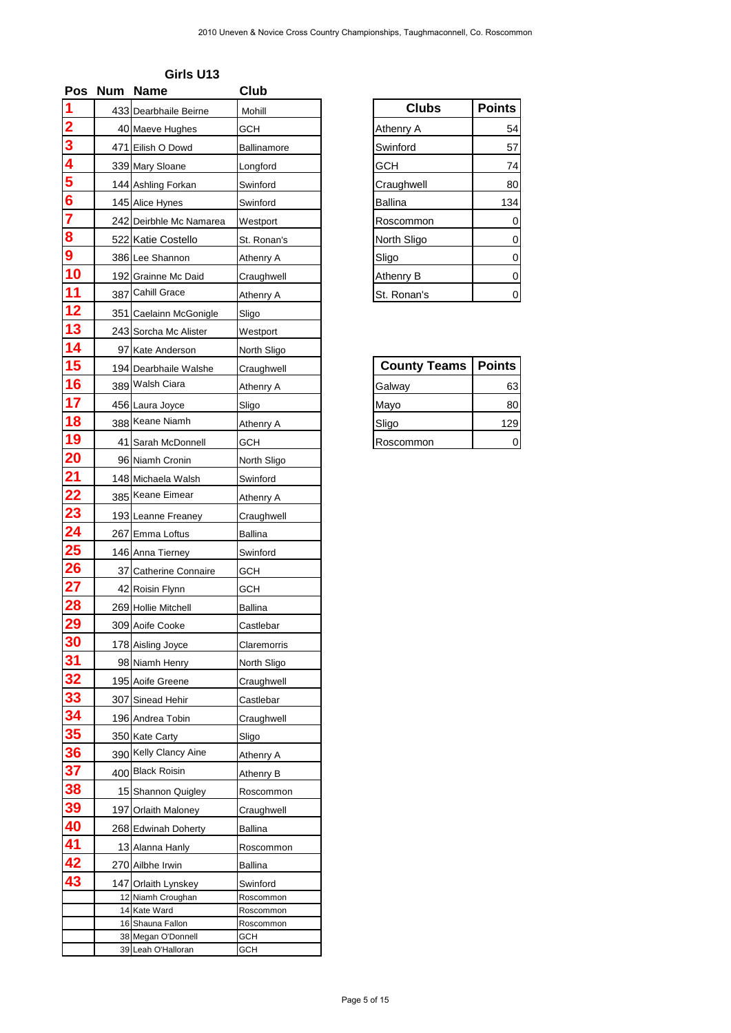| <b>Pos</b>                   | Num Name                                 | Club                   |                     |               |
|------------------------------|------------------------------------------|------------------------|---------------------|---------------|
| 1                            | 433 Dearbhaile Beirne                    | Mohill                 | <b>Clubs</b>        | <b>Points</b> |
| $\overline{\mathbf{2}}$<br>3 | 40 Maeve Hughes                          | <b>GCH</b>             | <b>Athenry A</b>    | 54            |
| 4                            | 471 Eilish O Dowd                        | Ballinamore            | Swinford            | 57            |
|                              | 339 Mary Sloane                          | Longford               | <b>GCH</b>          | 74            |
|                              | 144 Ashling Forkan                       | Swinford               | Craughwell          | 80            |
| $\frac{5}{6}$<br>7           | 145 Alice Hynes                          | Swinford               | <b>Ballina</b>      | 134           |
|                              | 242 Deirbhle Mc Namarea                  | Westport               | Roscommon           | 0             |
| 8                            | 522 Katie Costello                       | St. Ronan's            | North Sligo         | 0             |
| 9                            | 386 Lee Shannon                          | Athenry A              | Sligo               | 0             |
| 10                           | 192 Grainne Mc Daid                      | Craughwell             | Athenry B           | 0             |
| 11                           | 387 Cahill Grace                         | Athenry A              | St. Ronan's         | 0             |
| 12                           | 351 Caelainn McGonigle                   | Sligo                  |                     |               |
| 13                           | 243 Sorcha Mc Alister                    | Westport               |                     |               |
| 14                           | 97 Kate Anderson                         | North Sligo            |                     |               |
| 15                           | 194 Dearbhaile Walshe                    | Craughwell             | <b>County Teams</b> | <b>Points</b> |
| 16                           | 389 Walsh Ciara                          | Athenry A              | Galway              | 63            |
| 17                           | 456 Laura Joyce                          | Sligo                  | Mayo                | 80            |
| 18                           | 388 Keane Niamh                          | Athenry A              | Sligo               | 129           |
| 19                           | 41 Sarah McDonnell                       | <b>GCH</b>             | Roscommon           | 0             |
| <b>20</b>                    | 96 Niamh Cronin                          | North Sligo            |                     |               |
| 21                           | 148 Michaela Walsh                       | Swinford               |                     |               |
| 22                           | 385 Keane Eimear                         | Athenry A              |                     |               |
| <u>23</u>                    | 193 Leanne Freaney                       | Craughwell             |                     |               |
| 24                           | 267 Emma Loftus                          | <b>Ballina</b>         |                     |               |
| <b>25</b>                    | 146 Anna Tierney                         | Swinford               |                     |               |
| <b>26</b>                    | 37 Catherine Connaire                    | <b>GCH</b>             |                     |               |
| 27                           | 42 Roisin Flynn                          | <b>GCH</b>             |                     |               |
| <b>28</b>                    | 269 Hollie Mitchell                      | <b>Ballina</b>         |                     |               |
| 29                           | 309 Aoife Cooke                          | Castlebar              |                     |               |
| 30                           |                                          | Claremorris            |                     |               |
| 31                           | 178 Aisling Joyce                        |                        |                     |               |
| <u>32</u>                    | 98 Niamh Henry                           | North Sligo            |                     |               |
| <b>33</b>                    | 195 Aoife Greene                         | Craughwell             |                     |               |
| 34                           | 307 Sinead Hehir                         | Castlebar              |                     |               |
| 35                           | 196 Andrea Tobin                         | Craughwell             |                     |               |
| 36                           | 350 Kate Carty<br>390 Kelly Clancy Aine  | Sligo                  |                     |               |
|                              | 400 Black Roisin                         | Athenry A              |                     |               |
| 37<br>38                     |                                          | Athenry B              |                     |               |
|                              | 15 Shannon Quigley                       | Roscommon              |                     |               |
| 39                           | 197 Orlaith Maloney                      | Craughwell             |                     |               |
| 40                           | 268 Edwinah Doherty                      | <b>Ballina</b>         |                     |               |
| 41                           | 13 Alanna Hanly                          | Roscommon              |                     |               |
| 42                           | 270 Ailbhe Irwin                         | <b>Ballina</b>         |                     |               |
| 43                           | 147 Orlaith Lynskey                      | Swinford               |                     |               |
|                              | 12 Niamh Croughan<br>14 Kate Ward        | Roscommon<br>Roscommon |                     |               |
|                              | 16 Shauna Fallon                         | Roscommon              |                     |               |
|                              | 38 Megan O'Donnell<br>39 Leah O'Halloran | GCH<br><b>GCH</b>      |                     |               |

| Girls U13 |
|-----------|
|-----------|

| <b>Clubs</b>     | <b>Points</b> |
|------------------|---------------|
| Athenry A        | 54            |
| Swinford         | 57            |
| <b>GCH</b>       | 74            |
| Craughwell       | 80            |
| <b>Ballina</b>   | 134           |
| Roscommon        |               |
| North Sligo      | 0             |
| Sligo            | 0             |
| <b>Athenry B</b> | 0             |
| St. Ronan's      |               |

| <b>County Teams</b> | <b>Points</b> |
|---------------------|---------------|
| Galway              | 63            |
| Mayo                | 80            |
| Sligo               | 129           |
| Roscommon           |               |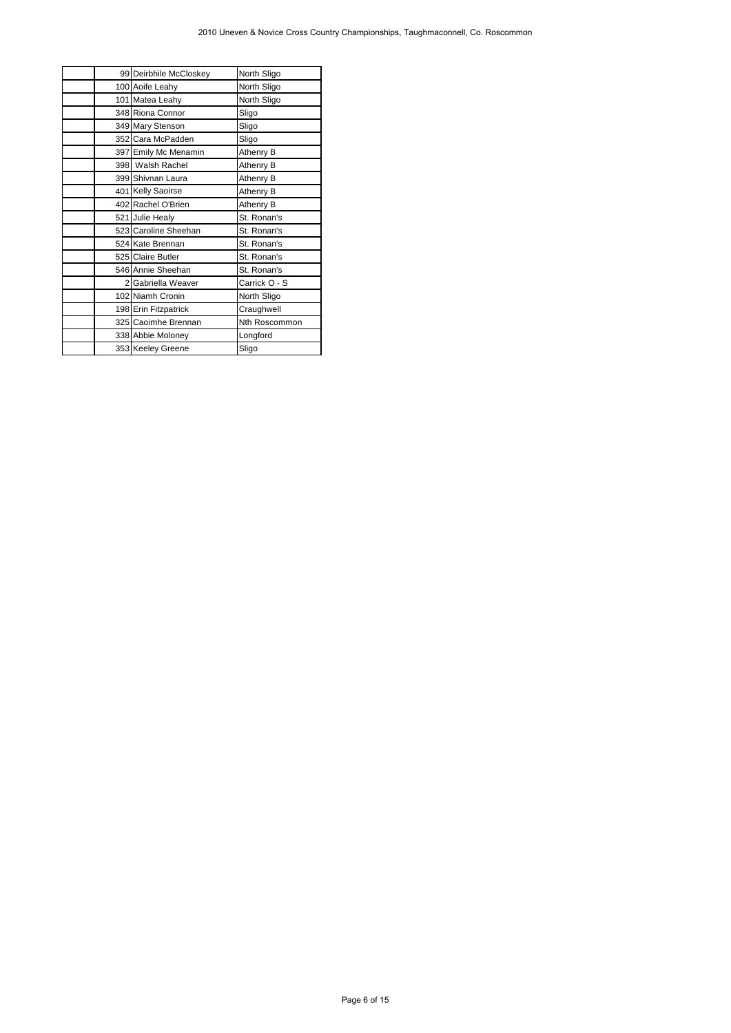|                                         | 2010 Uneven & Novice Cross Country Championships, Taughmaconnell, Co. Roscommon |              |  |
|-----------------------------------------|---------------------------------------------------------------------------------|--------------|--|
|                                         |                                                                                 |              |  |
| 99 Deirbhile McCloskey                  | North Sligo                                                                     |              |  |
| 100 Aoife Leahy                         | North Sligo                                                                     |              |  |
| 101 Matea Leahy                         | North Sligo                                                                     |              |  |
| 348 Riona Connor                        | Sligo<br>Sligo                                                                  |              |  |
| 349 Mary Stenson<br>352 Cara McPadden   | Sligo                                                                           |              |  |
| 397 Emily Mc Menamin                    | Athenry B                                                                       |              |  |
| 398 Walsh Rachel                        | Athenry B                                                                       |              |  |
| 399 Shivnan Laura                       | Athenry B                                                                       |              |  |
| 401 Kelly Saoirse                       | Athenry B                                                                       |              |  |
| 402 Rachel O'Brien                      | Athenry B                                                                       |              |  |
| 521 Julie Healy                         | St. Ronan's                                                                     |              |  |
| 523 Caroline Sheehan                    | St. Ronan's                                                                     |              |  |
| 524 Kate Brennan                        | St. Ronan's                                                                     |              |  |
| 525 Claire Butler                       | St. Ronan's                                                                     |              |  |
| 546 Annie Sheehan<br>2 Gabriella Weaver | St. Ronan's<br>Carrick O - S                                                    |              |  |
| 102 Niamh Cronin                        | North Sligo                                                                     |              |  |
| 198 Erin Fitzpatrick                    | Craughwell                                                                      |              |  |
| 325 Caoimhe Brennan                     | Nth Roscommon                                                                   |              |  |
| 338 Abbie Moloney                       | Longford                                                                        |              |  |
| 353 Keeley Greene                       | Sligo                                                                           |              |  |
|                                         |                                                                                 |              |  |
|                                         |                                                                                 |              |  |
|                                         |                                                                                 |              |  |
|                                         |                                                                                 |              |  |
|                                         |                                                                                 |              |  |
|                                         |                                                                                 |              |  |
|                                         |                                                                                 |              |  |
|                                         |                                                                                 |              |  |
|                                         |                                                                                 |              |  |
|                                         |                                                                                 |              |  |
|                                         |                                                                                 |              |  |
|                                         |                                                                                 |              |  |
|                                         |                                                                                 |              |  |
|                                         |                                                                                 |              |  |
|                                         |                                                                                 |              |  |
|                                         |                                                                                 |              |  |
|                                         |                                                                                 |              |  |
|                                         |                                                                                 |              |  |
|                                         |                                                                                 |              |  |
|                                         |                                                                                 |              |  |
|                                         |                                                                                 |              |  |
|                                         |                                                                                 |              |  |
|                                         |                                                                                 |              |  |
|                                         |                                                                                 |              |  |
|                                         |                                                                                 |              |  |
|                                         |                                                                                 |              |  |
|                                         |                                                                                 |              |  |
|                                         |                                                                                 |              |  |
|                                         |                                                                                 |              |  |
|                                         |                                                                                 |              |  |
|                                         |                                                                                 |              |  |
|                                         |                                                                                 |              |  |
|                                         |                                                                                 |              |  |
|                                         |                                                                                 |              |  |
|                                         |                                                                                 |              |  |
|                                         |                                                                                 |              |  |
|                                         |                                                                                 |              |  |
|                                         |                                                                                 |              |  |
|                                         |                                                                                 |              |  |
|                                         |                                                                                 |              |  |
|                                         |                                                                                 |              |  |
|                                         |                                                                                 |              |  |
|                                         |                                                                                 |              |  |
|                                         |                                                                                 |              |  |
|                                         |                                                                                 |              |  |
|                                         |                                                                                 | Page 6 of 15 |  |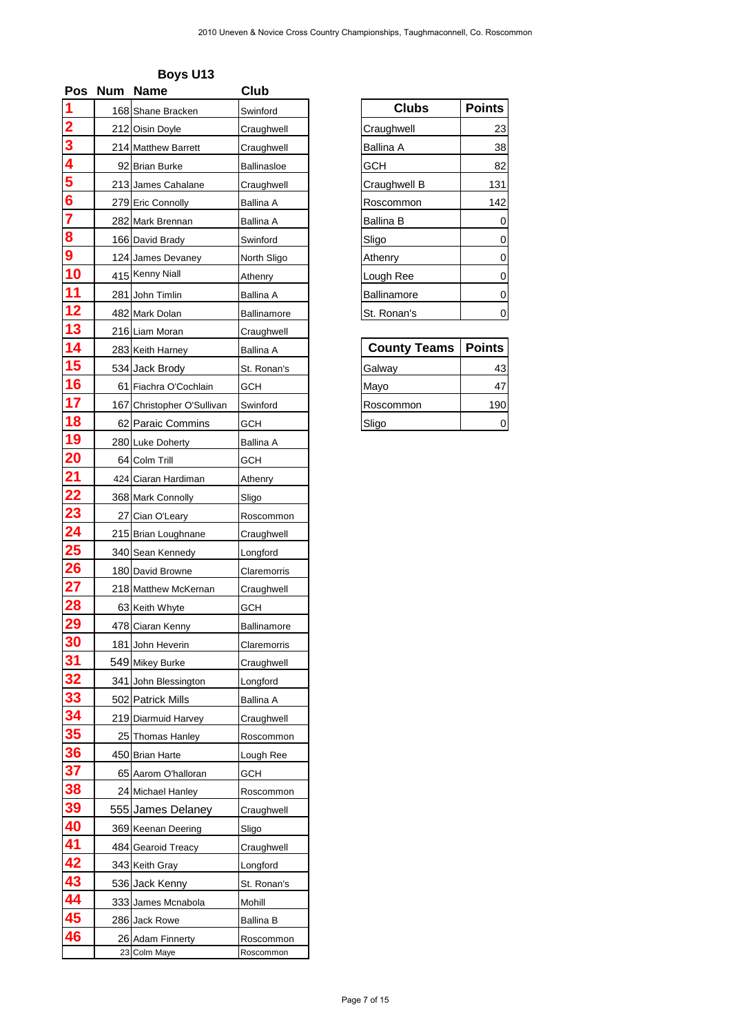| <b>Pos</b>                   | <b>Num</b> | <b>Name</b>                               | <b>Club</b>             |                     |               |
|------------------------------|------------|-------------------------------------------|-------------------------|---------------------|---------------|
|                              |            | 168 Shane Bracken                         | Swinford                | <b>Clubs</b>        | <b>Points</b> |
| $\overline{\mathbf{2}}$<br>3 |            | 212 Oisin Doyle                           | Craughwell              | Craughwell          | 23            |
|                              |            | 214 Matthew Barrett                       | Craughwell              | <b>Ballina A</b>    | 38            |
|                              |            | 92 Brian Burke                            | Ballinasloe             | <b>GCH</b>          | 82            |
|                              |            | 213 James Cahalane                        | Craughwell              | Craughwell B        | 131           |
|                              |            | 279 Eric Connolly                         | <b>Ballina A</b>        | Roscommon           | 142           |
|                              |            | 282 Mark Brennan                          | <b>Ballina A</b>        | <b>Ballina B</b>    | 0             |
|                              |            | 166 David Brady                           | Swinford                | Sligo               | 0             |
|                              |            | 124 James Devaney                         | North Sligo             | Athenry             | 0             |
| 10                           |            | 415 Kenny Niall                           | Athenry                 | Lough Ree           | 0             |
| 11                           |            | 281 John Timlin                           | <b>Ballina A</b>        | <b>Ballinamore</b>  | 0             |
| 12                           |            | 482 Mark Dolan                            | <b>Ballinamore</b>      | St. Ronan's         | 0             |
| 13                           |            | 216 Liam Moran                            | Craughwell              |                     |               |
| 14                           |            | 283 Keith Harney                          | <b>Ballina A</b>        | <b>County Teams</b> | <b>Points</b> |
| 15                           |            | 534 Jack Brody                            | St. Ronan's             | Galway              | 43            |
| 16                           |            | 61 Fiachra O'Cochlain                     | <b>GCH</b>              | Mayo                | 47            |
| 17                           |            | 167 Christopher O'Sullivan                | Swinford                | Roscommon           | 190           |
| 18                           |            | 62 Paraic Commins                         | <b>GCH</b>              | Sligo               | 0             |
| 19                           |            | 280 Luke Doherty                          | Ballina A               |                     |               |
| <b>20</b>                    |            | 64 Colm Trill                             | <b>GCH</b>              |                     |               |
| <u>21</u>                    |            | 424 Ciaran Hardiman                       | Athenry                 |                     |               |
| 22                           |            | 368 Mark Connolly                         | Sligo                   |                     |               |
| <u>23</u>                    |            | 27 Cian O'Leary                           | Roscommon               |                     |               |
| <u>24</u>                    |            | 215 Brian Loughnane                       | Craughwell              |                     |               |
| <b>25</b>                    |            | 340 Sean Kennedy                          | Longford                |                     |               |
| <b>26</b>                    |            | 180 David Browne                          | Claremorris             |                     |               |
| 27                           |            | 218 Matthew McKernan                      | Craughwell              |                     |               |
| <b>28</b>                    |            |                                           | <b>GCH</b>              |                     |               |
| 29                           |            | 63 Keith Whyte<br>478 Ciaran Kenny        | Ballinamore             |                     |               |
| 30                           |            |                                           |                         |                     |               |
| 31                           |            | 181 John Heverin                          | Claremorris             |                     |               |
| <u>32</u>                    |            | 549 Mikey Burke                           | Craughwell              |                     |               |
| <b>33</b>                    |            | 341 John Blessington<br>502 Patrick Mills | Longford                |                     |               |
| 34                           |            |                                           | <b>Ballina A</b>        |                     |               |
| 35                           |            | 219 Diarmuid Harvey                       | Craughwell              |                     |               |
| 36                           |            | 25 Thomas Hanley<br>450 Brian Harte       | Roscommon               |                     |               |
| 37                           |            |                                           | Lough Ree<br><b>GCH</b> |                     |               |
| 38                           |            | 65 Aarom O'halloran                       |                         |                     |               |
| 39                           |            | 24 Michael Hanley                         | Roscommon               |                     |               |
| 40                           |            | 555 James Delaney                         | Craughwell              |                     |               |
| 41                           |            | 369 Keenan Deering                        | Sligo                   |                     |               |
|                              |            | 484 Gearoid Treacy                        | Craughwell              |                     |               |
| 42                           |            | 343 Keith Gray                            | Longford                |                     |               |
| 43<br>44                     |            | 536 Jack Kenny                            | St. Ronan's             |                     |               |
|                              |            | 333 James Mcnabola                        | Mohill                  |                     |               |
| 45                           |            | 286 Jack Rowe                             | <b>Ballina B</b>        |                     |               |
| 46                           |            | 26 Adam Finnerty<br>23 Colm Maye          | Roscommon<br>Roscommon  |                     |               |

| <b>Clubs</b>     | <b>Points</b> |
|------------------|---------------|
| Craughwell       | 23            |
| Ballina A        | 38            |
| <b>GCH</b>       | 82            |
| Craughwell B     | 131           |
| Roscommon        | 142           |
| <b>Ballina B</b> |               |
| Sligo            |               |
| Athenry          | 0             |
| Lough Ree        | 0             |
| Ballinamore      |               |
| St. Ronan's      |               |

| <b>County Teams</b> | <b>Points</b> |
|---------------------|---------------|
| Galway              | 43            |
| Mayo                | 47            |
| Roscommon           | 190           |
| Sligo               |               |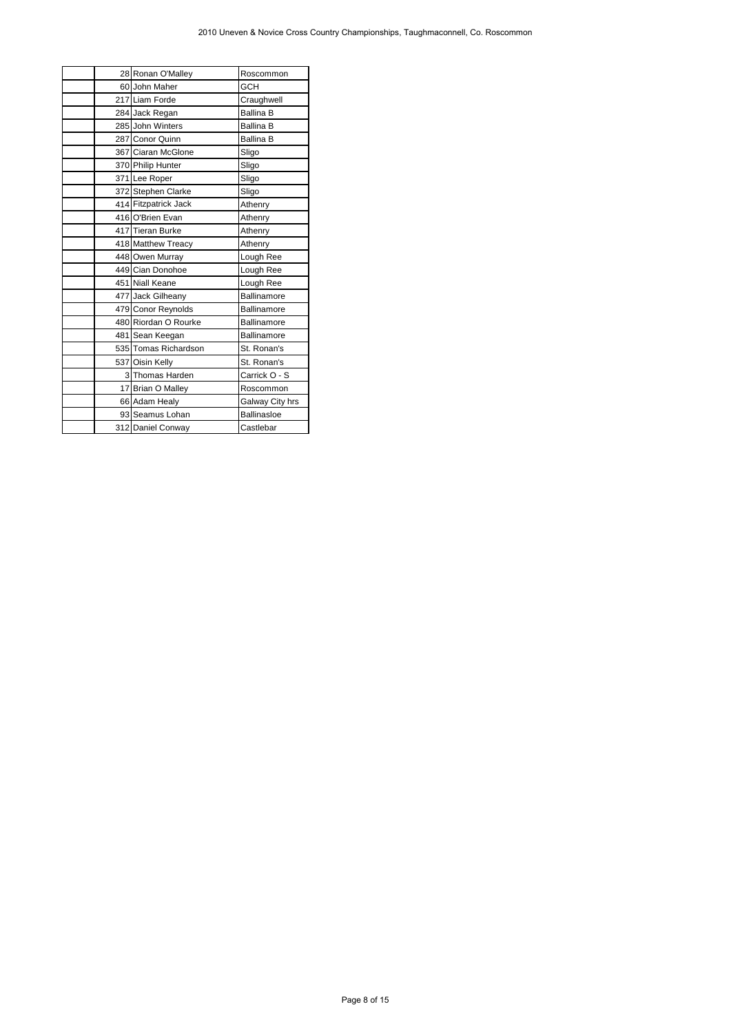| 28 Ronan O'Malley<br>Roscommon<br>60 John Maher<br>GCH<br>217 Liam Forde<br>Craughwell<br><b>Ballina B</b><br>284 Jack Regan<br>285 John Winters<br><b>Ballina B</b><br>287 Conor Quinn<br><b>Ballina B</b><br>367 Ciaran McGlone<br>Sligo<br>370 Philip Hunter<br>Sligo<br>Sligo<br>371 Lee Roper<br>372 Stephen Clarke<br>Sligo<br>414 Fitzpatrick Jack<br>Athenry<br>416 O'Brien Evan<br>Athenry<br>417 Tieran Burke<br>Athenry<br>418 Matthew Treacy<br>Athenry<br>448 Owen Murray<br>Lough Ree<br>449 Cian Donohoe<br>Lough Ree<br>451 Niall Keane<br>Lough Ree<br>477 Jack Gilheany<br>Ballinamore<br>479 Conor Reynolds<br>Ballinamore<br>480 Riordan O Rourke<br>Ballinamore<br>481 Sean Keegan<br>Ballinamore<br>535 Tomas Richardson<br>St. Ronan's<br>537 Oisin Kelly<br>St. Ronan's<br>3 Thomas Harden<br>Carrick O - S<br>17 Brian O Malley<br>Roscommon<br>66 Adam Healy<br>Galway City hrs<br>93 Seamus Lohan<br>Ballinasloe<br>Castlebar<br>312 Daniel Conway |
|-------------------------------------------------------------------------------------------------------------------------------------------------------------------------------------------------------------------------------------------------------------------------------------------------------------------------------------------------------------------------------------------------------------------------------------------------------------------------------------------------------------------------------------------------------------------------------------------------------------------------------------------------------------------------------------------------------------------------------------------------------------------------------------------------------------------------------------------------------------------------------------------------------------------------------------------------------------------------------|
|                                                                                                                                                                                                                                                                                                                                                                                                                                                                                                                                                                                                                                                                                                                                                                                                                                                                                                                                                                               |
|                                                                                                                                                                                                                                                                                                                                                                                                                                                                                                                                                                                                                                                                                                                                                                                                                                                                                                                                                                               |
|                                                                                                                                                                                                                                                                                                                                                                                                                                                                                                                                                                                                                                                                                                                                                                                                                                                                                                                                                                               |
|                                                                                                                                                                                                                                                                                                                                                                                                                                                                                                                                                                                                                                                                                                                                                                                                                                                                                                                                                                               |
|                                                                                                                                                                                                                                                                                                                                                                                                                                                                                                                                                                                                                                                                                                                                                                                                                                                                                                                                                                               |
|                                                                                                                                                                                                                                                                                                                                                                                                                                                                                                                                                                                                                                                                                                                                                                                                                                                                                                                                                                               |
|                                                                                                                                                                                                                                                                                                                                                                                                                                                                                                                                                                                                                                                                                                                                                                                                                                                                                                                                                                               |
|                                                                                                                                                                                                                                                                                                                                                                                                                                                                                                                                                                                                                                                                                                                                                                                                                                                                                                                                                                               |
|                                                                                                                                                                                                                                                                                                                                                                                                                                                                                                                                                                                                                                                                                                                                                                                                                                                                                                                                                                               |
|                                                                                                                                                                                                                                                                                                                                                                                                                                                                                                                                                                                                                                                                                                                                                                                                                                                                                                                                                                               |
|                                                                                                                                                                                                                                                                                                                                                                                                                                                                                                                                                                                                                                                                                                                                                                                                                                                                                                                                                                               |
|                                                                                                                                                                                                                                                                                                                                                                                                                                                                                                                                                                                                                                                                                                                                                                                                                                                                                                                                                                               |
|                                                                                                                                                                                                                                                                                                                                                                                                                                                                                                                                                                                                                                                                                                                                                                                                                                                                                                                                                                               |
|                                                                                                                                                                                                                                                                                                                                                                                                                                                                                                                                                                                                                                                                                                                                                                                                                                                                                                                                                                               |
|                                                                                                                                                                                                                                                                                                                                                                                                                                                                                                                                                                                                                                                                                                                                                                                                                                                                                                                                                                               |
|                                                                                                                                                                                                                                                                                                                                                                                                                                                                                                                                                                                                                                                                                                                                                                                                                                                                                                                                                                               |
|                                                                                                                                                                                                                                                                                                                                                                                                                                                                                                                                                                                                                                                                                                                                                                                                                                                                                                                                                                               |
|                                                                                                                                                                                                                                                                                                                                                                                                                                                                                                                                                                                                                                                                                                                                                                                                                                                                                                                                                                               |
|                                                                                                                                                                                                                                                                                                                                                                                                                                                                                                                                                                                                                                                                                                                                                                                                                                                                                                                                                                               |
|                                                                                                                                                                                                                                                                                                                                                                                                                                                                                                                                                                                                                                                                                                                                                                                                                                                                                                                                                                               |
|                                                                                                                                                                                                                                                                                                                                                                                                                                                                                                                                                                                                                                                                                                                                                                                                                                                                                                                                                                               |
|                                                                                                                                                                                                                                                                                                                                                                                                                                                                                                                                                                                                                                                                                                                                                                                                                                                                                                                                                                               |
|                                                                                                                                                                                                                                                                                                                                                                                                                                                                                                                                                                                                                                                                                                                                                                                                                                                                                                                                                                               |
|                                                                                                                                                                                                                                                                                                                                                                                                                                                                                                                                                                                                                                                                                                                                                                                                                                                                                                                                                                               |
|                                                                                                                                                                                                                                                                                                                                                                                                                                                                                                                                                                                                                                                                                                                                                                                                                                                                                                                                                                               |
|                                                                                                                                                                                                                                                                                                                                                                                                                                                                                                                                                                                                                                                                                                                                                                                                                                                                                                                                                                               |
|                                                                                                                                                                                                                                                                                                                                                                                                                                                                                                                                                                                                                                                                                                                                                                                                                                                                                                                                                                               |
|                                                                                                                                                                                                                                                                                                                                                                                                                                                                                                                                                                                                                                                                                                                                                                                                                                                                                                                                                                               |
| Page 8 of 15                                                                                                                                                                                                                                                                                                                                                                                                                                                                                                                                                                                                                                                                                                                                                                                                                                                                                                                                                                  |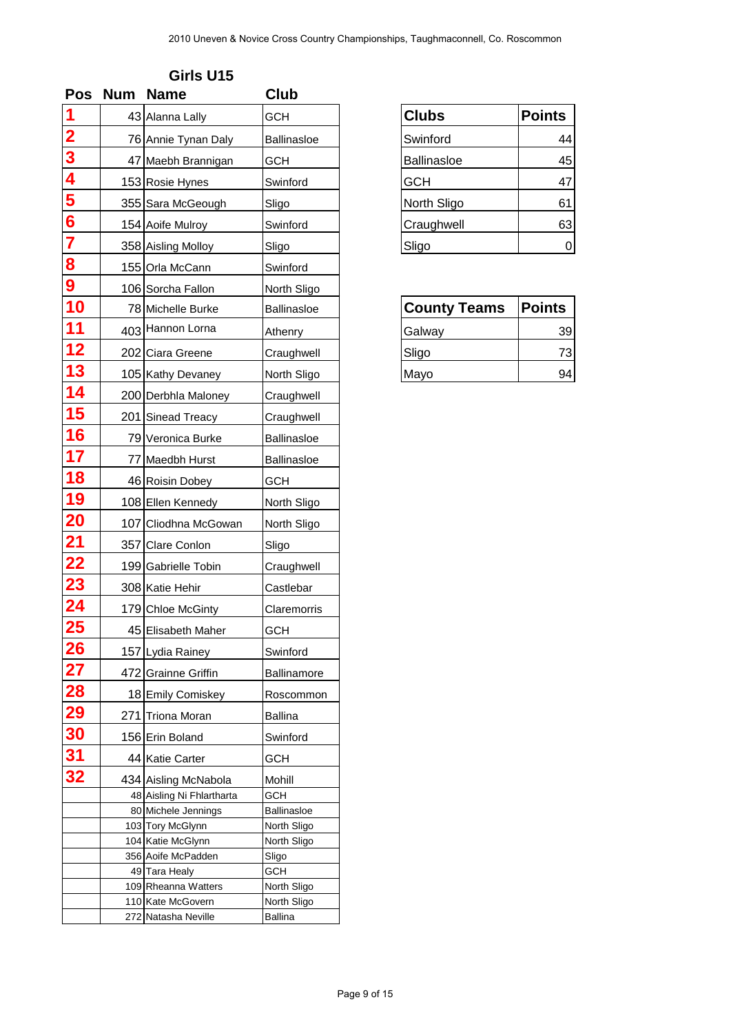| <b>Pos</b>              | <b>Num</b> | <b>Name</b>                              | <b>Club</b>                |                     |               |
|-------------------------|------------|------------------------------------------|----------------------------|---------------------|---------------|
| 1                       |            | 43 Alanna Lally                          | <b>GCH</b>                 | <b>Clubs</b>        | <b>Points</b> |
| $\frac{2}{3}$           |            | 76 Annie Tynan Daly                      | <b>Ballinasloe</b>         | Swinford            | 44            |
|                         |            | 47 Maebh Brannigan                       | <b>GCH</b>                 | <b>Ballinasloe</b>  | 45            |
| 4                       |            | 153 Rosie Hynes                          | Swinford                   | <b>GCH</b>          | 47            |
| 5                       |            | 355 Sara McGeough                        | Sligo                      | North Sligo         | 61            |
| $\overline{\bf{6}}$     |            | 154 Aoife Mulroy                         | Swinford                   | Craughwell          | 63            |
| $\overline{\mathbf{7}}$ |            | 358 Aisling Molloy                       | Sligo                      | Sligo               | $\mathbf 0$   |
| 8                       |            | 155 Orla McCann                          | Swinford                   |                     |               |
| $\boldsymbol{9}$        |            | 106 Sorcha Fallon                        | North Sligo                |                     |               |
| 10                      |            | 78 Michelle Burke                        | <b>Ballinasloe</b>         | <b>County Teams</b> | Points        |
| 11                      |            | 403 Hannon Lorna                         |                            |                     |               |
| 12                      |            | 202 Ciara Greene                         | Athenry                    | Galway              | 39            |
| 13                      |            |                                          | Craughwell                 | Sligo               | 73<br>94      |
| 14                      |            | 105 Kathy Devaney                        | North Sligo                | Mayo                |               |
|                         |            | 200 Derbhla Maloney                      | Craughwell                 |                     |               |
| 15                      |            | 201 Sinead Treacy                        | Craughwell                 |                     |               |
| 16                      |            | 79 Veronica Burke                        | <b>Ballinasloe</b>         |                     |               |
| 17                      |            | 77 Maedbh Hurst                          | Ballinasloe                |                     |               |
| 18                      |            | 46 Roisin Dobey                          | <b>GCH</b>                 |                     |               |
| 19                      |            | 108 Ellen Kennedy                        | North Sligo                |                     |               |
| <b>20</b>               |            | 107 Cliodhna McGowan                     | North Sligo                |                     |               |
| <u>21</u>               |            | 357 Clare Conlon                         | Sligo                      |                     |               |
| 22                      |            | 199 Gabrielle Tobin                      | Craughwell                 |                     |               |
| 23                      |            | 308 Katie Hehir                          | Castlebar                  |                     |               |
| 24                      |            | 179 Chloe McGinty                        | Claremorris                |                     |               |
| <b>25</b>               |            | 45 Elisabeth Maher                       | <b>GCH</b>                 |                     |               |
| <b>26</b>               |            | 157 Lydia Rainey                         | Swinford                   |                     |               |
| $\overline{27}$         |            | 472 Grainne Griffin                      | <b>Ballinamore</b>         |                     |               |
| <b>28</b>               |            | 18 Emily Comiskey                        | Roscommon                  |                     |               |
| 29                      |            | 271 Triona Moran                         | <b>Ballina</b>             |                     |               |
| 30                      |            | 156 Erin Boland                          | Swinford                   |                     |               |
| 31                      |            | 44 Katie Carter                          | <b>GCH</b>                 |                     |               |
| 32                      |            | 434 Aisling McNabola                     | Mohill                     |                     |               |
|                         |            | 48 Aisling Ni Fhlartharta                | GCH                        |                     |               |
|                         |            | 80 Michele Jennings                      | Ballinasloe                |                     |               |
|                         |            | 103 Tory McGlynn<br>104 Katie McGlynn    | North Sligo<br>North Sligo |                     |               |
|                         |            | 356 Aoife McPadden                       | Sligo                      |                     |               |
|                         |            | 49 Tara Healy                            | GCH                        |                     |               |
|                         |            | 109 Rheanna Watters<br>110 Kate McGovern | North Sligo<br>North Sligo |                     |               |
|                         |            | 272 Natasha Neville                      | <b>Ballina</b>             |                     |               |

| <b>Clubs</b> | <b>Points</b> |
|--------------|---------------|
| Swinford     | 44            |
| Ballinasloe  | 45            |
| <b>GCH</b>   | 47            |
| North Sligo  | 61            |
| Craughwell   | 63            |
| Sligo        |               |

| <b>County Teams</b> | <b>Points</b> |
|---------------------|---------------|
| Galway              | 39            |
| Sligo               | 73            |
| Mayo                | 94            |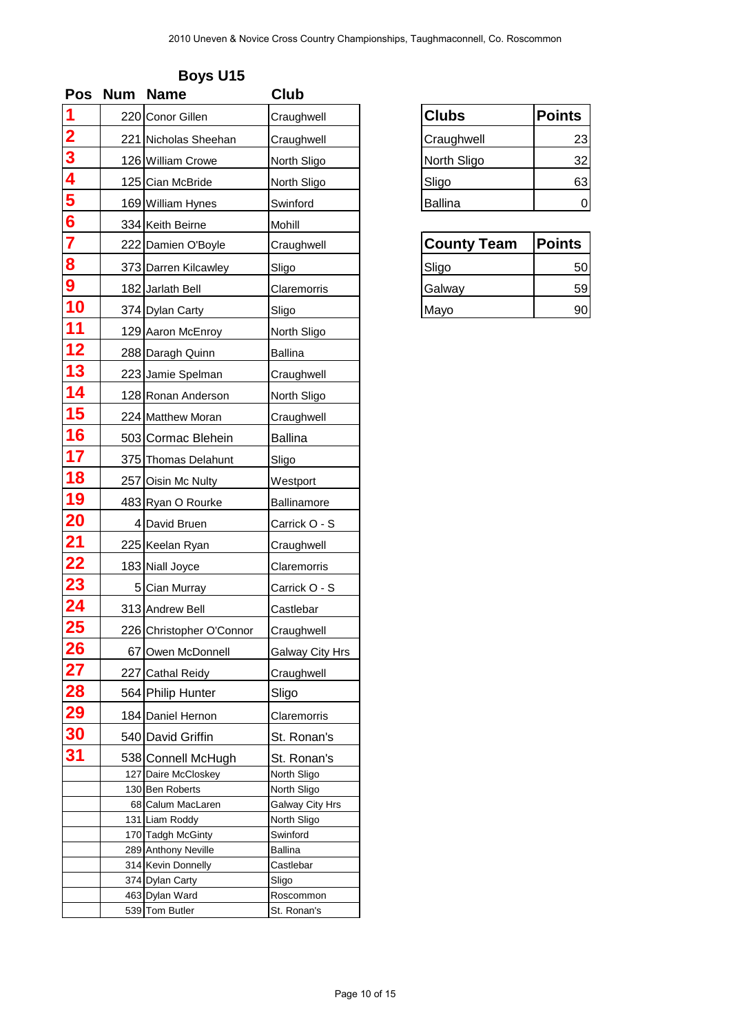| <b>Pos</b>              | <b>Num</b> | <b>Name</b>                            | Club                       |                    |               |
|-------------------------|------------|----------------------------------------|----------------------------|--------------------|---------------|
| 1                       |            | 220 Conor Gillen                       | Craughwell                 | <b>Clubs</b>       | <b>Points</b> |
| $\overline{\mathbf{2}}$ |            | 221 Nicholas Sheehan                   | Craughwell                 | Craughwell         | 23            |
| $\overline{\mathbf{3}}$ |            | 126 William Crowe                      | North Sligo                | North Sligo        | 32            |
| $\overline{\mathbf{4}}$ |            | 125 Cian McBride                       | North Sligo                | Sligo              | 63            |
| 5                       |            | 169 William Hynes                      | Swinford                   | <b>Ballina</b>     | $\mathbf 0$   |
| $\overline{\bf{6}}$     |            |                                        |                            |                    |               |
| $\overline{\mathbf{7}}$ |            | 334 Keith Beirne                       | Mohill                     |                    |               |
|                         |            | 222 Damien O'Boyle                     | Craughwell                 | <b>County Team</b> | <b>Points</b> |
| 8                       |            | 373 Darren Kilcawley                   | Sligo                      | Sligo              | 50            |
| $\boldsymbol{9}$        |            | 182 Jarlath Bell                       | Claremorris                | Galway             | 59            |
| 10                      |            | 374 Dylan Carty                        | Sligo                      | Mayo               | 90            |
| 11                      |            | 129 Aaron McEnroy                      | North Sligo                |                    |               |
| 12                      |            | 288 Daragh Quinn                       | <b>Ballina</b>             |                    |               |
| 13                      |            | 223 Jamie Spelman                      | Craughwell                 |                    |               |
| 14                      |            | 128 Ronan Anderson                     | North Sligo                |                    |               |
| 15                      |            | 224 Matthew Moran                      | Craughwell                 |                    |               |
| 16                      |            |                                        |                            |                    |               |
|                         |            | 503 Cormac Blehein                     | <b>Ballina</b>             |                    |               |
| 17                      |            | 375 Thomas Delahunt                    | Sligo                      |                    |               |
| 18                      |            | 257 Oisin Mc Nulty                     | Westport                   |                    |               |
| 19                      |            | 483 Ryan O Rourke                      | Ballinamore                |                    |               |
| <b>20</b>               |            | 4 David Bruen                          | Carrick O - S              |                    |               |
| <u>21</u>               |            | 225 Keelan Ryan                        | Craughwell                 |                    |               |
| 22                      |            | 183 Niall Joyce                        | Claremorris                |                    |               |
| 23                      |            | 5 Cian Murray                          | Carrick O - S              |                    |               |
| 24                      |            | 313 Andrew Bell                        | Castlebar                  |                    |               |
| 25                      |            | 226 Christopher O'Connor               | Craughwell                 |                    |               |
| <b>26</b>               |            | 67 Owen McDonnell                      | <b>Galway City Hrs</b>     |                    |               |
| 27                      |            | 227 Cathal Reidy                       | Craughwell                 |                    |               |
| <b>28</b>               |            |                                        |                            |                    |               |
|                         |            | 564 Philip Hunter                      | Sligo                      |                    |               |
| 29                      |            | 184 Daniel Hernon                      | Claremorris                |                    |               |
| 30                      |            | 540 David Griffin                      | St. Ronan's                |                    |               |
| 31                      |            | 538 Connell McHugh                     | St. Ronan's                |                    |               |
|                         |            | 127 Daire McCloskey<br>130 Ben Roberts | North Sligo<br>North Sligo |                    |               |
|                         |            | 68 Calum MacLaren                      | Galway City Hrs            |                    |               |
|                         |            | 131 Liam Roddy                         | North Sligo                |                    |               |
|                         |            | 170 Tadgh McGinty                      | Swinford                   |                    |               |
|                         |            | 289 Anthony Neville                    | Ballina                    |                    |               |
|                         |            | 314 Kevin Donnelly                     | Castlebar                  |                    |               |
|                         |            | 374 Dylan Carty                        | Sligo                      |                    |               |
|                         |            | 463 Dylan Ward                         | Roscommon                  |                    |               |
|                         |            | 539 Tom Butler                         | St. Ronan's                |                    |               |

| <b>Clubs</b> | <b>Points</b> |
|--------------|---------------|
| Craughwell   | 23            |
| North Sligo  | 32            |
| Sligo        | 63            |
| Ballina      |               |

| <b>County Team</b> | <b>Points</b> |  |
|--------------------|---------------|--|
| Sligo              | 50            |  |
| Galway             | 59            |  |
| Mayo               | 90            |  |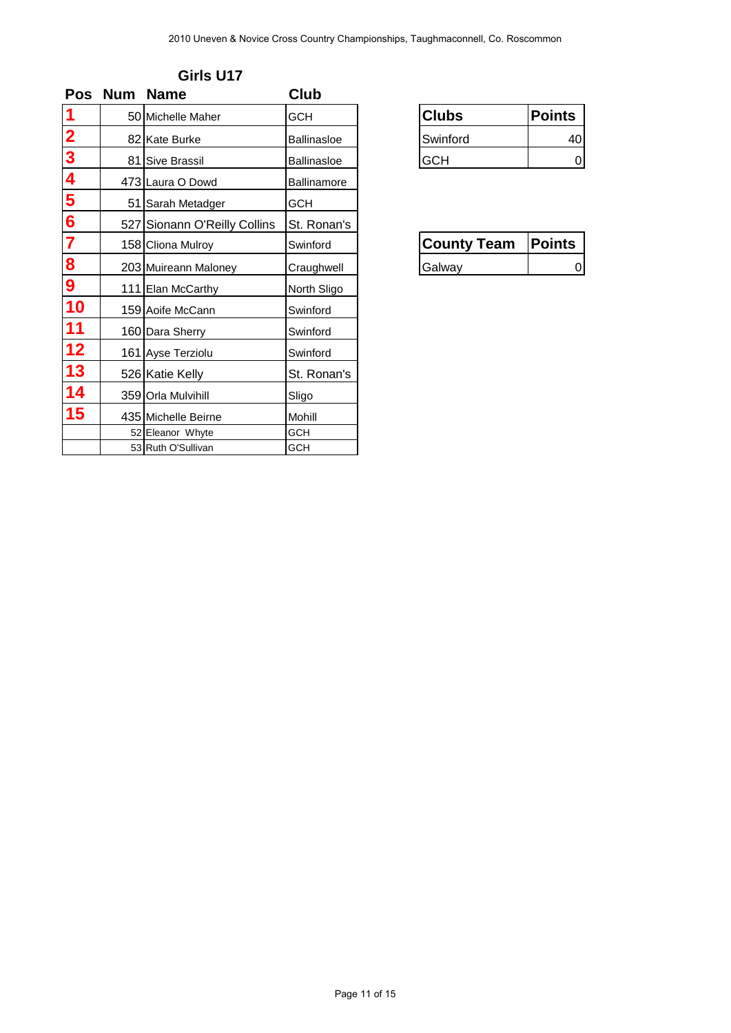| $\overline{\mathbf{1}}$                                            | Pos Num | <b>Name</b>                          | Club                 |                    |               |
|--------------------------------------------------------------------|---------|--------------------------------------|----------------------|--------------------|---------------|
|                                                                    |         | 50 Michelle Maher                    | <b>GCH</b>           | <b>Clubs</b>       | <b>Points</b> |
|                                                                    |         | 82 Kate Burke                        | Ballinasloe          | Swinford           | 40            |
|                                                                    |         | 81 Sive Brassil                      | Ballinasloe          | <b>GCH</b>         | 0             |
|                                                                    |         | 473 Laura O Dowd                     | Ballinamore          |                    |               |
|                                                                    |         | 51 Sarah Metadger                    | <b>GCH</b>           |                    |               |
|                                                                    |         | 527 Sionann O'Reilly Collins         | St. Ronan's          | <b>County Team</b> | <b>Points</b> |
|                                                                    |         | 158 Cliona Mulroy                    | Swinford             |                    |               |
| 0<br>0<br>0<br>5<br>0<br>5<br>0<br>0<br>0<br>0<br>0<br>0<br>0<br>0 |         | 203 Muireann Maloney                 | Craughwell           | Galway             | 0             |
| 10                                                                 |         | 111 Elan McCarthy                    | North Sligo          |                    |               |
| 11                                                                 |         | 159 Aoife McCann                     | Swinford             |                    |               |
| 12                                                                 |         | 160 Dara Sherry<br>161 Ayse Terziolu | Swinford<br>Swinford |                    |               |
| 13                                                                 |         | 526 Katie Kelly                      | St. Ronan's          |                    |               |
| 14                                                                 |         | 359 Orla Mulvihill                   | Sligo                |                    |               |
| 15                                                                 |         | 435 Michelle Beirne                  | Mohill               |                    |               |
|                                                                    |         | 52 Eleanor Whyte                     | <b>GCH</b>           |                    |               |
|                                                                    |         | 53 Ruth O'Sullivan                   | GCH                  |                    |               |
|                                                                    |         |                                      |                      |                    |               |
|                                                                    |         |                                      |                      |                    |               |
|                                                                    |         |                                      |                      |                    |               |
|                                                                    |         |                                      |                      |                    |               |

| Girls U17 |  |
|-----------|--|
|-----------|--|

| Clubs      | Points |
|------------|--------|
| Swinford   |        |
| <b>HCH</b> |        |

| <b>County Team</b> | Points |
|--------------------|--------|
| <b>Galway</b>      |        |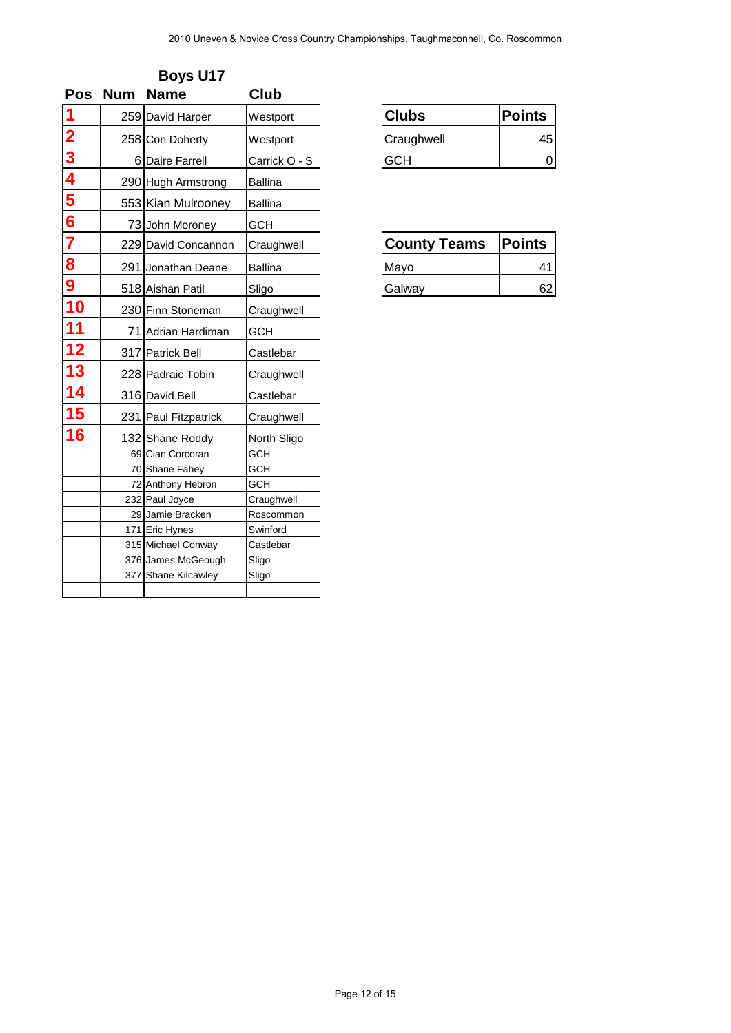| <b>Pos</b>                                                                          | <b>Num</b> | <b>Name</b>                        | Club                  |                     |               |
|-------------------------------------------------------------------------------------|------------|------------------------------------|-----------------------|---------------------|---------------|
| 1<br>2<br>3<br>4<br>5<br>6<br>7<br>8<br>1<br>0<br>1<br>0<br><br><br><br><br>5<br>10 |            | 259 David Harper                   | Westport              | <b>Clubs</b>        | <b>Points</b> |
|                                                                                     |            | 258 Con Doherty                    | Westport              | Craughwell          | 45            |
|                                                                                     |            | 6 Daire Farrell                    | Carrick O - S         | <b>GCH</b>          | 0             |
|                                                                                     |            | 290 Hugh Armstrong                 | <b>Ballina</b>        |                     |               |
|                                                                                     |            | 553 Kian Mulrooney                 | <b>Ballina</b>        |                     |               |
|                                                                                     |            | 73 John Moroney                    | <b>GCH</b>            |                     |               |
|                                                                                     |            |                                    |                       | <b>County Teams</b> | <b>Points</b> |
|                                                                                     |            | 229 David Concannon                | Craughwell            |                     |               |
|                                                                                     |            | 291 Jonathan Deane                 | <b>Ballina</b>        | Mayo                | 41            |
|                                                                                     |            | 518 Aishan Patil                   | Sligo                 | Galway              | 62            |
|                                                                                     |            | 230 Finn Stoneman                  | Craughwell            |                     |               |
| 11                                                                                  |            | 71 Adrian Hardiman                 | <b>GCH</b>            |                     |               |
| 12                                                                                  |            | 317 Patrick Bell                   | Castlebar             |                     |               |
| 13                                                                                  |            | 228 Padraic Tobin                  | Craughwell            |                     |               |
| 14                                                                                  |            | 316 David Bell                     | Castlebar             |                     |               |
| <b>15</b>                                                                           |            | 231 Paul Fitzpatrick               | Craughwell            |                     |               |
| 16                                                                                  |            | 132 Shane Roddy                    | North Sligo           |                     |               |
|                                                                                     |            | 69 Cian Corcoran                   | GCH                   |                     |               |
|                                                                                     |            | 70 Shane Fahey                     | GCH                   |                     |               |
|                                                                                     |            | 72 Anthony Hebron                  | <b>GCH</b>            |                     |               |
|                                                                                     |            | 232 Paul Joyce<br>29 Jamie Bracken | Craughwell            |                     |               |
|                                                                                     |            | 171 Eric Hynes                     | Roscommon<br>Swinford |                     |               |
|                                                                                     |            | 315 Michael Conway                 | Castlebar             |                     |               |
|                                                                                     |            | 376 James McGeough                 | Sligo                 |                     |               |
|                                                                                     |            | 377 Shane Kilcawley                | Sligo                 |                     |               |
|                                                                                     |            |                                    |                       |                     |               |
|                                                                                     |            |                                    |                       |                     |               |

| <b>Clubs</b> | <b>Points</b> |
|--------------|---------------|
| Craughwell   |               |
| <b>ACH</b>   |               |

| <b>County Teams</b> | <b>Points</b> |
|---------------------|---------------|
| Mavo                |               |
| Galway              |               |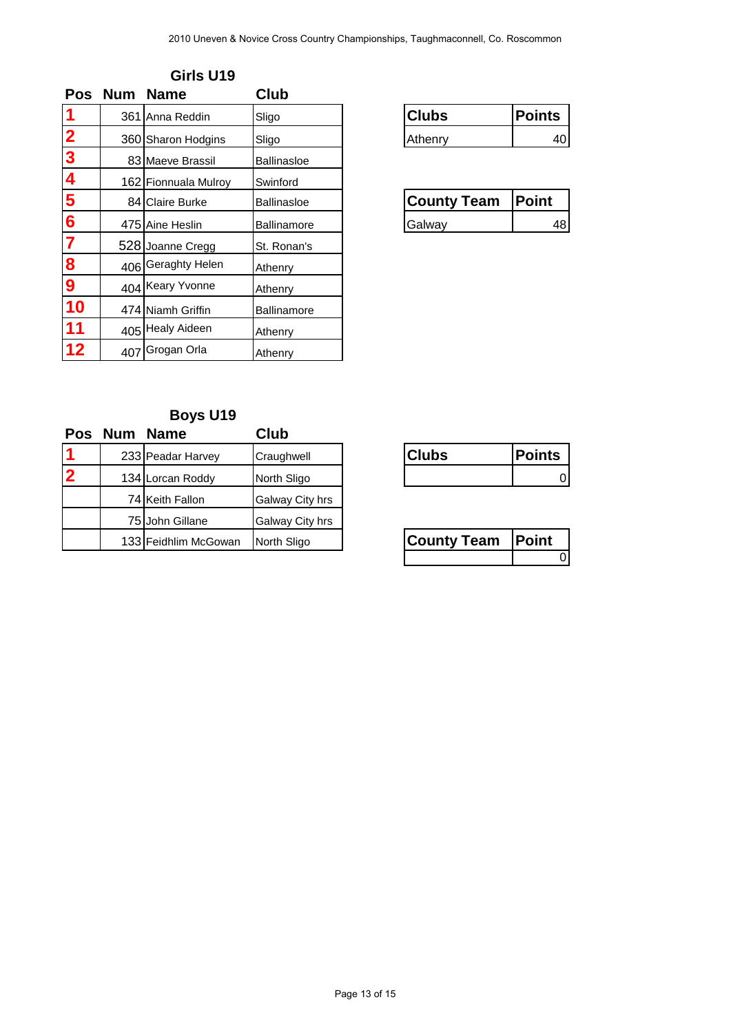| 1<br>$\overline{\mathbf{2}}$ | <b>Num</b><br>Pos | <b>Name</b>                            | Club               |                    |                             |
|------------------------------|-------------------|----------------------------------------|--------------------|--------------------|-----------------------------|
|                              |                   | 361 Anna Reddin                        | Sligo              | <b>Clubs</b>       | <b>Points</b>               |
|                              |                   | 360 Sharon Hodgins                     | Sligo              | Athenry            | 40                          |
| $\frac{3}{4}$                |                   | 83 Maeve Brassil                       | Ballinasloe        |                    |                             |
|                              |                   | 162 Fionnuala Mulroy                   | Swinford           |                    | <b>Point</b>                |
| $\frac{5}{6}$ $\frac{6}{7}$  |                   | 84 Claire Burke                        | Ballinasloe        | <b>County Team</b> |                             |
|                              |                   | 475 Aine Heslin                        | Ballinamore        | Galway             | 48                          |
| $\frac{8}{9}$                |                   | 528 Joanne Cregg<br>406 Geraghty Helen | St. Ronan's        |                    |                             |
|                              |                   | 404 Keary Yvonne                       | Athenry            |                    |                             |
| 10                           |                   |                                        | Athenry            |                    |                             |
| 11                           |                   | 474 Niamh Griffin<br>405 Healy Aideen  | Ballinamore        |                    |                             |
| 12                           | 407               | Grogan Orla                            | Athenry<br>Athenry |                    |                             |
|                              | Pos Num           | <b>Name</b>                            | Club               |                    |                             |
|                              |                   | <b>Boys U19</b>                        |                    |                    |                             |
|                              |                   | 233 Peadar Harvey                      | Craughwell         | <b>Clubs</b>       | <b>Points</b>               |
| $\overline{\mathbf{2}}$      |                   | 134 Lorcan Roddy                       | North Sligo        |                    | $\mathbf 0$                 |
|                              |                   | 74 Keith Fallon                        | Galway City hrs    |                    |                             |
|                              |                   | 75 John Gillane                        | Galway City hrs    |                    |                             |
|                              |                   | 133 Feidhlim McGowan                   | North Sligo        | <b>County Team</b> | <b>Point</b><br>$\mathbf 0$ |
|                              |                   |                                        |                    |                    |                             |
|                              |                   |                                        |                    |                    |                             |
|                              |                   |                                        |                    |                    |                             |

## **Girls U19**

| ubs.    | Points |
|---------|--------|
| Athenry |        |

| Countv Team | <b>OINT</b> |
|-------------|-------------|
| Galway      |             |

## **Boys U19**

| <b>Pos</b>     | Num | <b>Name</b>          | Club            |                    |               |
|----------------|-----|----------------------|-----------------|--------------------|---------------|
|                |     | 233 Peadar Harvey    | Craughwell      | <b>Clubs</b>       | <b>Points</b> |
| $\overline{2}$ |     | 134 Lorcan Roddy     | North Sligo     |                    |               |
|                |     | 74 Keith Fallon      | Galway City hrs |                    |               |
|                |     | 75 John Gillane      | Galway City hrs |                    |               |
|                |     | 133 Feidhlim McGowan | North Sligo     | <b>County Team</b> | <b>Point</b>  |

| <b>Clubs</b> | <b>Points</b> |
|--------------|---------------|
|              |               |

| County Team | <b>IPoint</b> |  |
|-------------|---------------|--|
|             |               |  |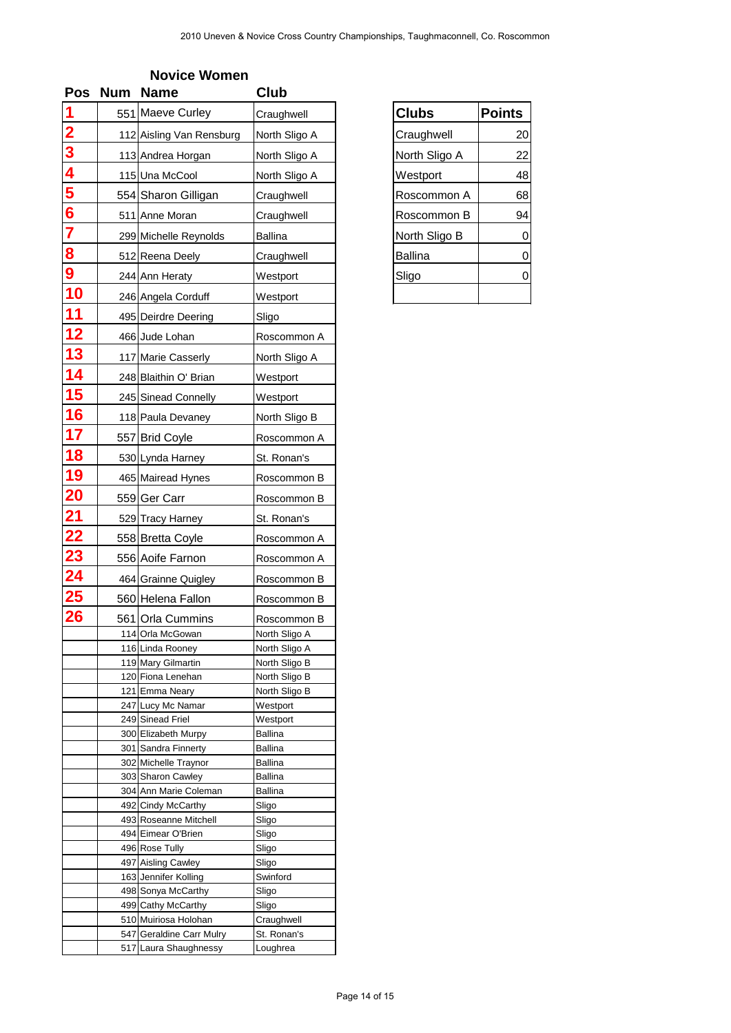| <b>Pos</b>                                                                          | <b>Num</b> | <b>Name</b>                                 | Club                           |                |               |
|-------------------------------------------------------------------------------------|------------|---------------------------------------------|--------------------------------|----------------|---------------|
|                                                                                     |            | 551 Maeve Curley                            | Craughwell                     | <b>Clubs</b>   | <b>Points</b> |
|                                                                                     |            | 112 Aisling Van Rensburg                    | North Sligo A                  | Craughwell     | 20            |
|                                                                                     |            | 113 Andrea Horgan                           | North Sligo A                  | North Sligo A  | 22            |
|                                                                                     |            | 115 Una McCool                              | North Sligo A                  | Westport       | 48            |
|                                                                                     |            |                                             |                                |                |               |
|                                                                                     |            | 554 Sharon Gilligan                         | Craughwell                     | Roscommon A    | 68            |
| $\frac{2}{3}$ $\frac{3}{4}$ $\frac{4}{5}$ $\frac{6}{6}$ $\frac{7}{8}$ $\frac{8}{9}$ |            | 511 Anne Moran                              | Craughwell                     | Roscommon B    | 94            |
|                                                                                     |            | 299 Michelle Reynolds                       | <b>Ballina</b>                 | North Sligo B  | 0             |
|                                                                                     |            | 512 Reena Deely                             | Craughwell                     | <b>Ballina</b> | 0             |
|                                                                                     |            | 244 Ann Heraty                              | Westport                       | Sligo          | 0             |
| 10                                                                                  |            | 246 Angela Corduff                          | Westport                       |                |               |
| 11                                                                                  |            | 495 Deirdre Deering                         | Sligo                          |                |               |
| 12                                                                                  |            | 466 Jude Lohan                              | Roscommon A                    |                |               |
| 13                                                                                  |            | 117 Marie Casserly                          | North Sligo A                  |                |               |
| 14                                                                                  |            | 248 Blaithin O' Brian                       | Westport                       |                |               |
| 15                                                                                  |            | 245 Sinead Connelly                         | Westport                       |                |               |
| 16                                                                                  |            | 118 Paula Devaney                           | North Sligo B                  |                |               |
| 17                                                                                  |            |                                             |                                |                |               |
|                                                                                     |            | 557 Brid Coyle                              | Roscommon A                    |                |               |
| 18                                                                                  |            | 530 Lynda Harney                            | St. Ronan's                    |                |               |
| 19                                                                                  |            | 465 Mairead Hynes                           | Roscommon B                    |                |               |
| <b>20</b>                                                                           |            | 559 Ger Carr                                | Roscommon B                    |                |               |
| $\overline{21}$                                                                     |            | 529 Tracy Harney                            | St. Ronan's                    |                |               |
| 22                                                                                  |            | 558 Bretta Coyle                            | Roscommon A                    |                |               |
| <u>23</u>                                                                           |            | 556 Aoife Farnon                            | Roscommon A                    |                |               |
|                                                                                     |            | 464 Grainne Quigley                         | Roscommon B                    |                |               |
| $\frac{24}{25}$                                                                     |            | 560 Helena Fallon                           | Roscommon B                    |                |               |
| 26                                                                                  |            | 561 Orla Cummins                            | Roscommon B                    |                |               |
|                                                                                     |            | 114 Orla McGowan                            | North Sligo A                  |                |               |
|                                                                                     |            | 116 Linda Rooney                            | North Sligo A                  |                |               |
|                                                                                     |            | 119 Mary Gilmartin                          | North Sligo B                  |                |               |
|                                                                                     |            | 120 Fiona Lenehan<br>121 Emma Neary         | North Sligo B<br>North Sligo B |                |               |
|                                                                                     |            | 247 Lucy Mc Namar                           | Westport                       |                |               |
|                                                                                     |            | 249 Sinead Friel                            | Westport                       |                |               |
|                                                                                     |            | 300 Elizabeth Murpy<br>301 Sandra Finnerty  | Ballina<br>Ballina             |                |               |
|                                                                                     |            | 302 Michelle Traynor                        | Ballina                        |                |               |
|                                                                                     |            | 303 Sharon Cawley                           | <b>Ballina</b>                 |                |               |
|                                                                                     |            | 304 Ann Marie Coleman                       | <b>Ballina</b>                 |                |               |
|                                                                                     |            | 492 Cindy McCarthy<br>493 Roseanne Mitchell | Sligo<br>Sligo                 |                |               |
|                                                                                     |            | 494 Eimear O'Brien                          | Sligo                          |                |               |
|                                                                                     |            | 496 Rose Tully                              | Sligo                          |                |               |
|                                                                                     |            | 497 Aisling Cawley                          | Sligo<br>Swinford              |                |               |
|                                                                                     |            | 163 Jennifer Kolling<br>498 Sonya McCarthy  | Sligo                          |                |               |
|                                                                                     |            | 499 Cathy McCarthy                          | Sligo                          |                |               |
|                                                                                     |            | 510 Muiriosa Holohan                        | Craughwell                     |                |               |
|                                                                                     |            | 547 Geraldine Carr Mulry                    | St. Ronan's                    |                |               |

| <b>Clubs</b>   | <b>Points</b> |
|----------------|---------------|
| Craughwell     | 20            |
| North Sligo A  | 22            |
| Westport       | 48            |
| Roscommon A    | 68            |
| Roscommon B    | 94            |
| North Sligo B  |               |
| <b>Ballina</b> |               |
| Sligo          |               |
|                |               |

## **Novice Women**